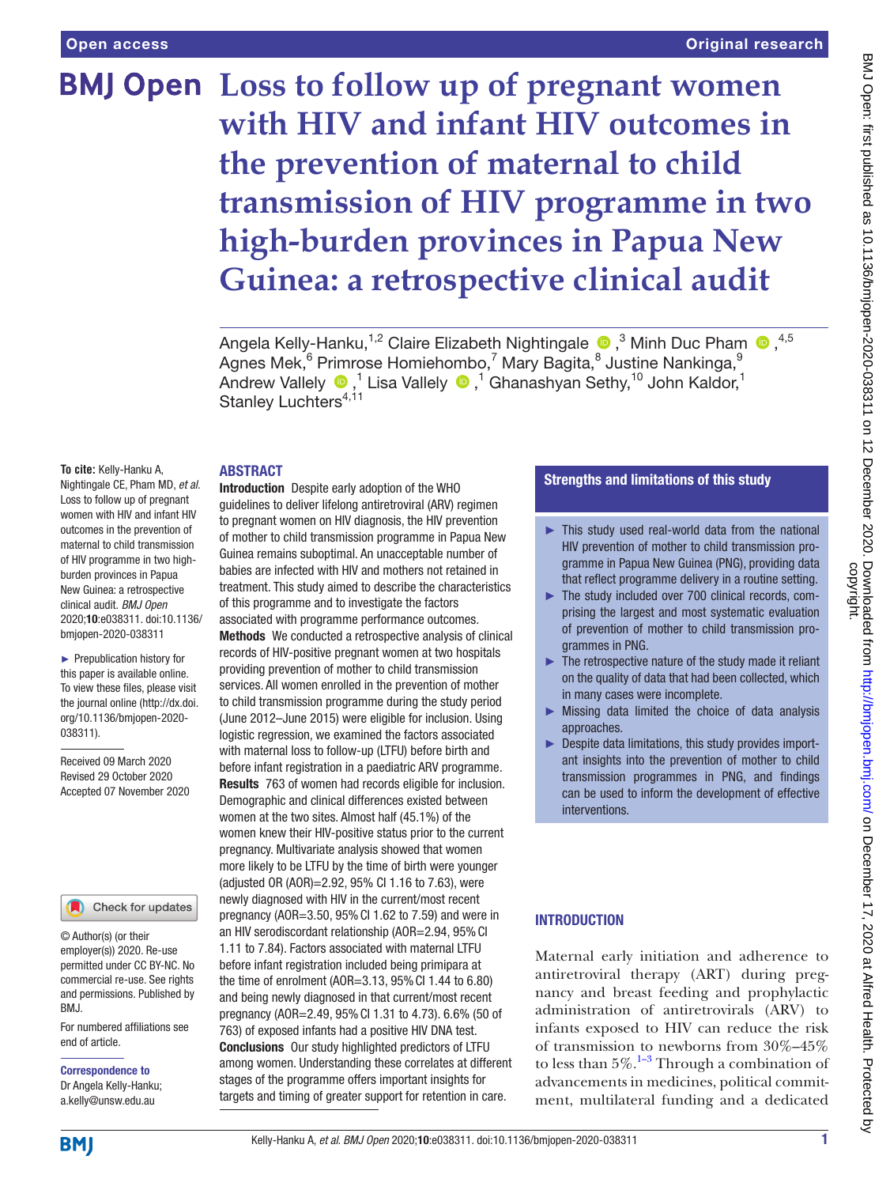# **BMJ Open** Loss to follow up of pregnant women **with HIV and infant HIV outcomes in the prevention of maternal to child transmission of HIV programme in two high-burden provinces in Papua New Guinea: a retrospective clinical audit**

AngelaKelly-Hanku,<sup>1,2</sup> Claire Elizabeth Nightingale  $\bullet$  ,<sup>3</sup> Minh Duc Pham  $\bullet$  ,<sup>4,5</sup> Agnes Mek, $^6$  Primrose Homiehombo, $^7$  Mary Bagita, $^8$  Justine Nankinga, $^9$ AndrewVallely  $\bigcirc$  ,<sup>1</sup> Lisa Vallely  $\bigcirc$  ,<sup>1</sup> Ghanashyan Sethy,<sup>10</sup> John Kaldor,<sup>1</sup> Stanley Luchters<sup>4,11</sup>

# ABSTRACT

**To cite:** Kelly-Hanku A, Nightingale CE, Pham MD, *et al*. Loss to follow up of pregnant women with HIV and infant HIV outcomes in the prevention of maternal to child transmission of HIV programme in two highburden provinces in Papua New Guinea: a retrospective clinical audit. *BMJ Open* 2020;10:e038311. doi:10.1136/ bmjopen-2020-038311

► Prepublication history for this paper is available online. To view these files, please visit the journal online (http://dx.doi. org/10.1136/bmjopen-2020- 038311).

Received 09 March 2020 Revised 29 October 2020 Accepted 07 November 2020

# Check for updates

© Author(s) (or their employer(s)) 2020. Re-use permitted under CC BY-NC. No commercial re-use. See rights and permissions. Published by BMJ.

For numbered affiliations see end of article.

#### Correspondence to Dr Angela Kelly-Hanku; a.kelly@unsw.edu.au

Introduction Despite early adoption of the WHO guidelines to deliver lifelong antiretroviral (ARV) regimen to pregnant women on HIV diagnosis, the HIV prevention of mother to child transmission programme in Papua New Guinea remains suboptimal. An unacceptable number of babies are infected with HIV and mothers not retained in treatment. This study aimed to describe the characteristics of this programme and to investigate the factors associated with programme performance outcomes.

Methods We conducted a retrospective analysis of clinical records of HIV-positive pregnant women at two hospitals providing prevention of mother to child transmission services. All women enrolled in the prevention of mother to child transmission programme during the study period (June 2012–June 2015) were eligible for inclusion. Using logistic regression, we examined the factors associated with maternal loss to follow-up (LTFU) before birth and before infant registration in a paediatric ARV programme. Results 763 of women had records eligible for inclusion. Demographic and clinical differences existed between women at the two sites. Almost half (45.1%) of the women knew their HIV-positive status prior to the current pregnancy. Multivariate analysis showed that women more likely to be LTFU by the time of birth were younger (adjusted OR (AOR)=2.92, 95% CI 1.16 to 7.63), were newly diagnosed with HIV in the current/most recent pregnancy (AOR=3.50, 95%CI 1.62 to 7.59) and were in an HIV serodiscordant relationship (AOR=2.94, 95% CI 1.11 to 7.84). Factors associated with maternal LTFU before infant registration included being primipara at the time of enrolment (AOR=3.13, 95%CI 1.44 to 6.80) and being newly diagnosed in that current/most recent pregnancy (AOR=2.49, 95%CI 1.31 to 4.73). 6.6% (50 of 763) of exposed infants had a positive HIV DNA test. Conclusions Our study highlighted predictors of LTFU among women. Understanding these correlates at different stages of the programme offers important insights for targets and timing of greater support for retention in care.

# Strengths and limitations of this study

- ► This study used real-world data from the national HIV prevention of mother to child transmission programme in Papua New Guinea (PNG), providing data that reflect programme delivery in a routine setting.
- ► The study included over 700 clinical records, comprising the largest and most systematic evaluation of prevention of mother to child transmission programmes in PNG.
- ► The retrospective nature of the study made it reliant on the quality of data that had been collected, which in many cases were incomplete.
- $\triangleright$  Missing data limited the choice of data analysis approaches.
- ► Despite data limitations, this study provides important insights into the prevention of mother to child transmission programmes in PNG, and findings can be used to inform the development of effective interventions.

# **INTRODUCTION**

Maternal early initiation and adherence to antiretroviral therapy (ART) during pregnancy and breast feeding and prophylactic administration of antiretrovirals (ARV) to infants exposed to HIV can reduce the risk of transmission to newborns from 30%–45% to less than  $5\%$ .<sup>1–3</sup> Through a combination of advancements in medicines, political commitment, multilateral funding and a dedicated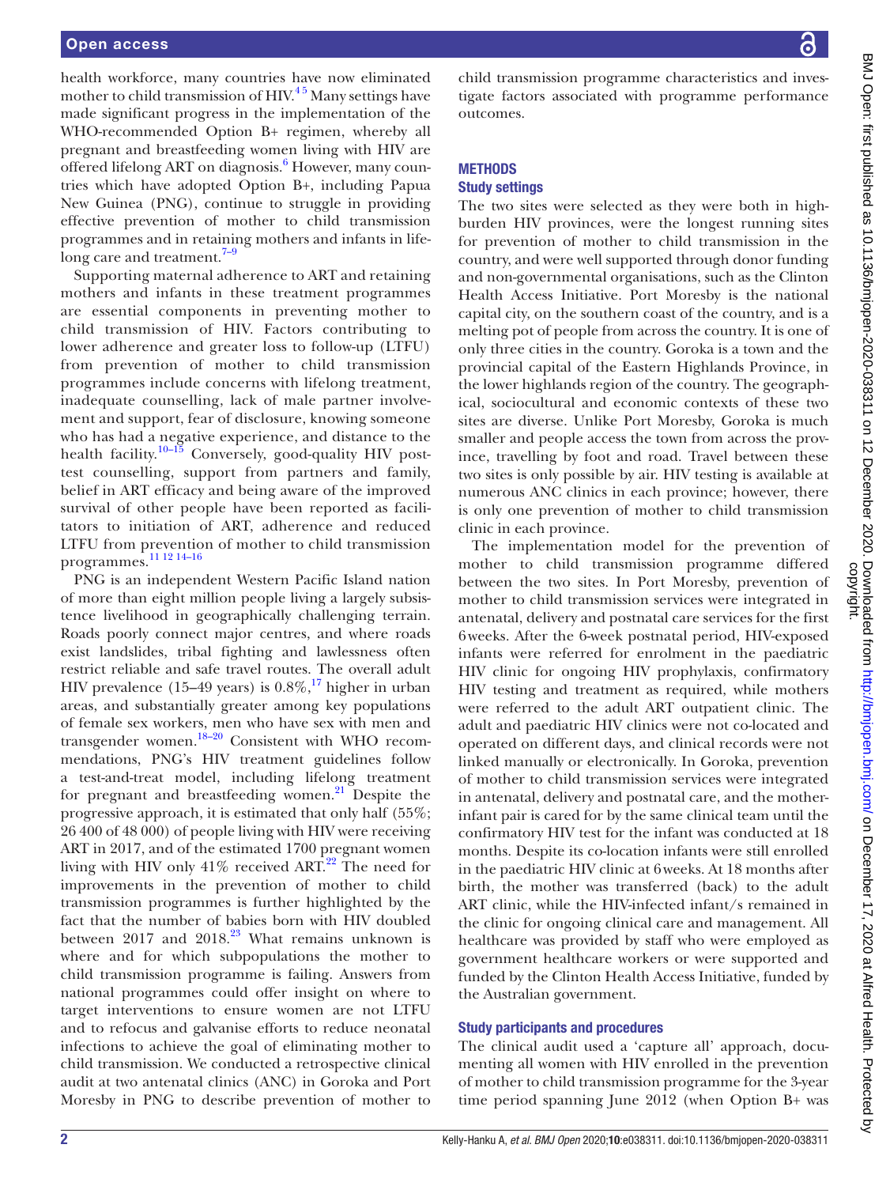health workforce, many countries have now eliminated mother to child transmission of HIV.<sup>45</sup> Many settings have made significant progress in the implementation of the WHO-recommended Option B+ regimen, whereby all pregnant and breastfeeding women living with HIV are offered lifelong ART on diagnosis.<sup>6</sup> However, many countries which have adopted Option B+, including Papua New Guinea (PNG), continue to struggle in providing effective prevention of mother to child transmission programmes and in retaining mothers and infants in lifelong care and treatment.<sup>7-9</sup>

Supporting maternal adherence to ART and retaining mothers and infants in these treatment programmes are essential components in preventing mother to child transmission of HIV. Factors contributing to lower adherence and greater loss to follow-up (LTFU) from prevention of mother to child transmission programmes include concerns with lifelong treatment, inadequate counselling, lack of male partner involvement and support, fear of disclosure, knowing someone who has had a negative experience, and distance to the health facility.<sup>[10–15](#page-11-4)</sup> Conversely, good-quality HIV posttest counselling, support from partners and family, belief in ART efficacy and being aware of the improved survival of other people have been reported as facilitators to initiation of ART, adherence and reduced LTFU from prevention of mother to child transmission programmes.[11 12 14–16](#page-11-5)

PNG is an independent Western Pacific Island nation of more than eight million people living a largely subsistence livelihood in geographically challenging terrain. Roads poorly connect major centres, and where roads exist landslides, tribal fighting and lawlessness often restrict reliable and safe travel routes. The overall adult HIV prevalence (15–49 years) is  $0.8\%$ ,<sup>17</sup> higher in urban areas, and substantially greater among key populations of female sex workers, men who have sex with men and transgender women[.18–20](#page-11-7) Consistent with WHO recommendations, PNG's HIV treatment guidelines follow a test-and-treat model, including lifelong treatment for pregnant and breastfeeding women. $^{21}$  Despite the progressive approach, it is estimated that only half (55%; 26 400 of 48 000) of people living with HIV were receiving ART in 2017, and of the estimated 1700 pregnant women living with HIV only  $41\%$  received ART.<sup>22</sup> The need for improvements in the prevention of mother to child transmission programmes is further highlighted by the fact that the number of babies born with HIV doubled between  $2017$  and  $2018.<sup>23</sup>$  $2018.<sup>23</sup>$  $2018.<sup>23</sup>$  What remains unknown is where and for which subpopulations the mother to child transmission programme is failing. Answers from national programmes could offer insight on where to target interventions to ensure women are not LTFU and to refocus and galvanise efforts to reduce neonatal infections to achieve the goal of eliminating mother to child transmission. We conducted a retrospective clinical audit at two antenatal clinics (ANC) in Goroka and Port Moresby in PNG to describe prevention of mother to

child transmission programme characteristics and investigate factors associated with programme performance outcomes.

#### **METHODS**

# Study settings

The two sites were selected as they were both in highburden HIV provinces, were the longest running sites for prevention of mother to child transmission in the country, and were well supported through donor funding and non-governmental organisations, such as the Clinton Health Access Initiative. Port Moresby is the national capital city, on the southern coast of the country, and is a melting pot of people from across the country. It is one of only three cities in the country. Goroka is a town and the provincial capital of the Eastern Highlands Province, in the lower highlands region of the country. The geographical, sociocultural and economic contexts of these two sites are diverse. Unlike Port Moresby, Goroka is much smaller and people access the town from across the province, travelling by foot and road. Travel between these two sites is only possible by air. HIV testing is available at numerous ANC clinics in each province; however, there is only one prevention of mother to child transmission clinic in each province.

The implementation model for the prevention of mother to child transmission programme differed between the two sites. In Port Moresby, prevention of mother to child transmission services were integrated in antenatal, delivery and postnatal care services for the first 6weeks. After the 6-week postnatal period, HIV-exposed infants were referred for enrolment in the paediatric HIV clinic for ongoing HIV prophylaxis, confirmatory HIV testing and treatment as required, while mothers were referred to the adult ART outpatient clinic. The adult and paediatric HIV clinics were not co-located and operated on different days, and clinical records were not linked manually or electronically. In Goroka, prevention of mother to child transmission services were integrated in antenatal, delivery and postnatal care, and the motherinfant pair is cared for by the same clinical team until the confirmatory HIV test for the infant was conducted at 18 months. Despite its co-location infants were still enrolled in the paediatric HIV clinic at 6weeks. At 18 months after birth, the mother was transferred (back) to the adult ART clinic, while the HIV-infected infant/s remained in the clinic for ongoing clinical care and management. All healthcare was provided by staff who were employed as government healthcare workers or were supported and funded by the Clinton Health Access Initiative, funded by the Australian government.

# Study participants and procedures

The clinical audit used a 'capture all' approach, documenting all women with HIV enrolled in the prevention of mother to child transmission programme for the 3-year time period spanning June 2012 (when Option B+ was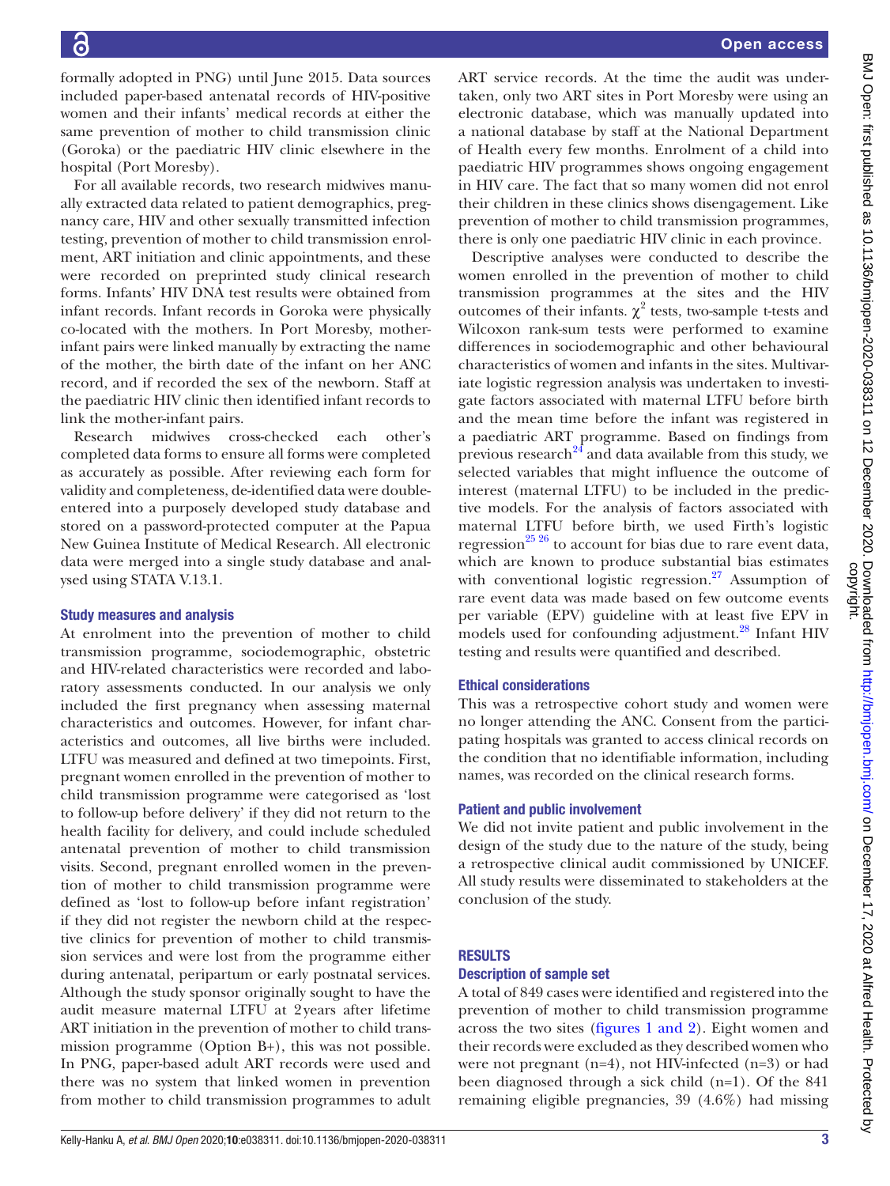formally adopted in PNG) until June 2015. Data sources included paper-based antenatal records of HIV-positive women and their infants' medical records at either the same prevention of mother to child transmission clinic (Goroka) or the paediatric HIV clinic elsewhere in the hospital (Port Moresby).

For all available records, two research midwives manually extracted data related to patient demographics, pregnancy care, HIV and other sexually transmitted infection testing, prevention of mother to child transmission enrolment, ART initiation and clinic appointments, and these were recorded on preprinted study clinical research forms. Infants' HIV DNA test results were obtained from infant records. Infant records in Goroka were physically co-located with the mothers. In Port Moresby, motherinfant pairs were linked manually by extracting the name of the mother, the birth date of the infant on her ANC record, and if recorded the sex of the newborn. Staff at the paediatric HIV clinic then identified infant records to link the mother-infant pairs.

Research midwives cross-checked each other's completed data forms to ensure all forms were completed as accurately as possible. After reviewing each form for validity and completeness, de-identified data were doubleentered into a purposely developed study database and stored on a password-protected computer at the Papua New Guinea Institute of Medical Research. All electronic data were merged into a single study database and analysed using STATA V.13.1.

# Study measures and analysis

At enrolment into the prevention of mother to child transmission programme, sociodemographic, obstetric and HIV-related characteristics were recorded and laboratory assessments conducted. In our analysis we only included the first pregnancy when assessing maternal characteristics and outcomes. However, for infant characteristics and outcomes, all live births were included. LTFU was measured and defined at two timepoints. First, pregnant women enrolled in the prevention of mother to child transmission programme were categorised as 'lost to follow-up before delivery' if they did not return to the health facility for delivery, and could include scheduled antenatal prevention of mother to child transmission visits. Second, pregnant enrolled women in the prevention of mother to child transmission programme were defined as 'lost to follow-up before infant registration' if they did not register the newborn child at the respective clinics for prevention of mother to child transmission services and were lost from the programme either during antenatal, peripartum or early postnatal services. Although the study sponsor originally sought to have the audit measure maternal LTFU at 2years after lifetime ART initiation in the prevention of mother to child transmission programme (Option B+), this was not possible. In PNG, paper-based adult ART records were used and there was no system that linked women in prevention from mother to child transmission programmes to adult

ART service records. At the time the audit was undertaken, only two ART sites in Port Moresby were using an electronic database, which was manually updated into a national database by staff at the National Department of Health every few months. Enrolment of a child into paediatric HIV programmes shows ongoing engagement in HIV care. The fact that so many women did not enrol their children in these clinics shows disengagement. Like prevention of mother to child transmission programmes, there is only one paediatric HIV clinic in each province.

Descriptive analyses were conducted to describe the women enrolled in the prevention of mother to child transmission programmes at the sites and the HIV outcomes of their infants.  $\chi^2$  tests, two-sample t-tests and Wilcoxon rank-sum tests were performed to examine differences in sociodemographic and other behavioural characteristics of women and infants in the sites. Multivariate logistic regression analysis was undertaken to investigate factors associated with maternal LTFU before birth and the mean time before the infant was registered in a paediatric ART programme. Based on findings from previous research $^{24}$  and data available from this study, we selected variables that might influence the outcome of interest (maternal LTFU) to be included in the predictive models. For the analysis of factors associated with maternal LTFU before birth, we used Firth's logistic regression<sup>25</sup> 26 to account for bias due to rare event data, which are known to produce substantial bias estimates with conventional logistic regression. $27$  Assumption of rare event data was made based on few outcome events per variable (EPV) guideline with at least five EPV in models used for confounding adjustment.<sup>28</sup> Infant HIV testing and results were quantified and described.

# Ethical considerations

This was a retrospective cohort study and women were no longer attending the ANC. Consent from the participating hospitals was granted to access clinical records on the condition that no identifiable information, including names, was recorded on the clinical research forms.

#### Patient and public involvement

We did not invite patient and public involvement in the design of the study due to the nature of the study, being a retrospective clinical audit commissioned by UNICEF. All study results were disseminated to stakeholders at the conclusion of the study.

#### RESULTS

#### Description of sample set

A total of 849 cases were identified and registered into the prevention of mother to child transmission programme across the two sites (figures [1 and 2\)](#page-3-0). Eight women and their records were excluded as they described women who were not pregnant (n=4), not HIV-infected (n=3) or had been diagnosed through a sick child (n=1). Of the 841 remaining eligible pregnancies, 39 (4.6%) had missing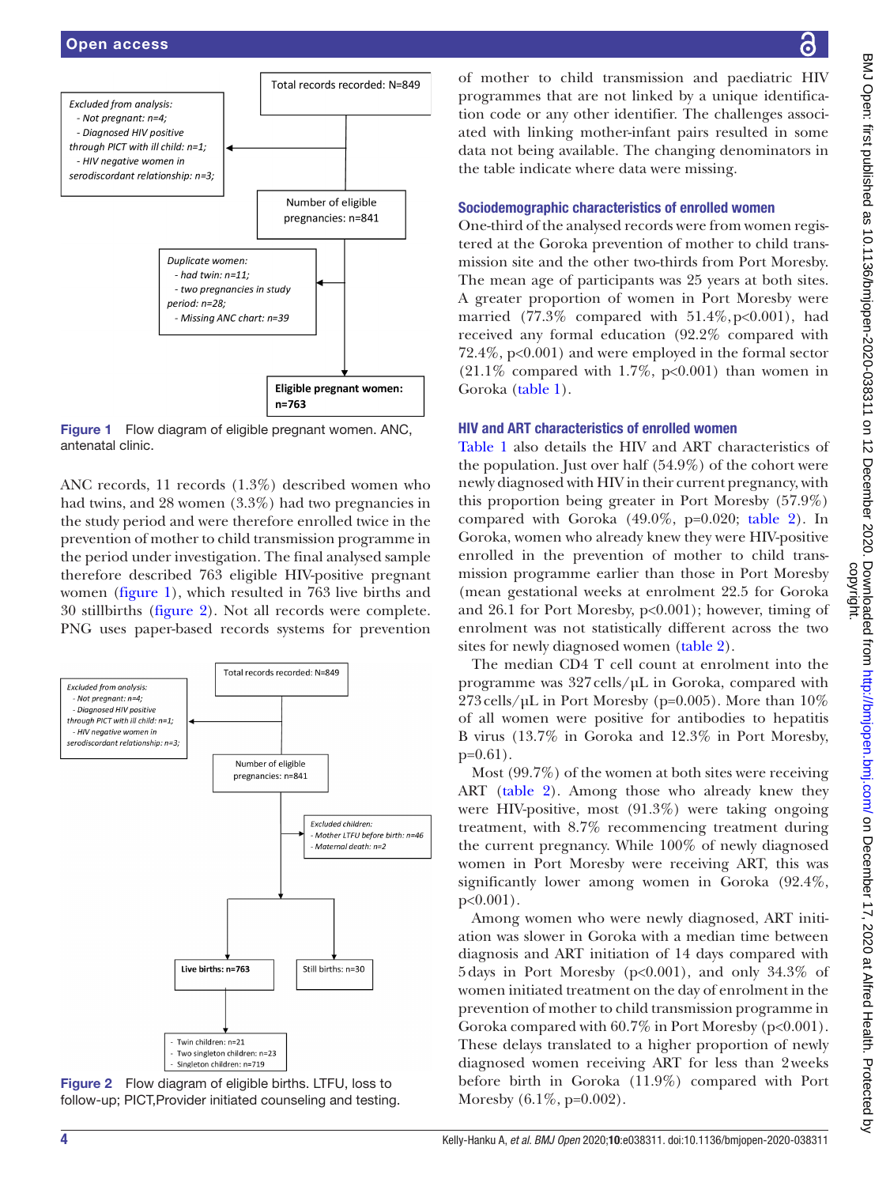

<span id="page-3-0"></span>Figure 1 Flow diagram of eligible pregnant women. ANC, antenatal clinic.

ANC records, 11 records (1.3%) described women who had twins, and 28 women (3.3%) had two pregnancies in the study period and were therefore enrolled twice in the prevention of mother to child transmission programme in the period under investigation. The final analysed sample therefore described 763 eligible HIV-positive pregnant women [\(figure](#page-3-0) 1), which resulted in 763 live births and 30 stillbirths ([figure](#page-3-1) 2). Not all records were complete. PNG uses paper-based records systems for prevention



<span id="page-3-1"></span>Figure 2 Flow diagram of eligible births. LTFU, loss to follow-up; PICT,Provider initiated counseling and testing.

of mother to child transmission and paediatric HIV programmes that are not linked by a unique identification code or any other identifier. The challenges associated with linking mother-infant pairs resulted in some data not being available. The changing denominators in the table indicate where data were missing.

#### Sociodemographic characteristics of enrolled women

One-third of the analysed records were from women registered at the Goroka prevention of mother to child transmission site and the other two-thirds from Port Moresby. The mean age of participants was 25 years at both sites. A greater proportion of women in Port Moresby were married (77.3% compared with  $51.4\%, p<0.001$ ), had received any formal education (92.2% compared with 72.4%, p<0.001) and were employed in the formal sector  $(21.1\%$  compared with 1.7%, p<0.001) than women in Goroka [\(table](#page-4-0) 1).

# HIV and ART characteristics of enrolled women

[Table](#page-4-0) 1 also details the HIV and ART characteristics of the population. Just over half  $(54.9\%)$  of the cohort were newly diagnosed with HIV in their current pregnancy, with this proportion being greater in Port Moresby (57.9%) compared with Goroka (49.0%, p=0.020; [table](#page-6-0) 2). In Goroka, women who already knew they were HIV-positive enrolled in the prevention of mother to child transmission programme earlier than those in Port Moresby (mean gestational weeks at enrolment 22.5 for Goroka and 26.1 for Port Moresby, p<0.001); however, timing of enrolment was not statistically different across the two sites for newly diagnosed women ([table](#page-6-0) 2).

The median CD4 T cell count at enrolment into the programme was 327cells/µL in Goroka, compared with  $273$  cells/µL in Port Moresby (p=0.005). More than  $10\%$ of all women were positive for antibodies to hepatitis B virus (13.7% in Goroka and 12.3% in Port Moresby, p=0.61).

Most (99.7%) of the women at both sites were receiving ART [\(table](#page-6-0) 2). Among those who already knew they were HIV-positive, most (91.3%) were taking ongoing treatment, with 8.7% recommencing treatment during the current pregnancy. While 100% of newly diagnosed women in Port Moresby were receiving ART, this was significantly lower among women in Goroka (92.4%, p<0.001).

Among women who were newly diagnosed, ART initiation was slower in Goroka with a median time between diagnosis and ART initiation of 14 days compared with 5days in Port Moresby (p<0.001), and only 34.3% of women initiated treatment on the day of enrolment in the prevention of mother to child transmission programme in Goroka compared with  $60.7\%$  in Port Moresby ( $p<0.001$ ). These delays translated to a higher proportion of newly diagnosed women receiving ART for less than 2weeks before birth in Goroka (11.9%) compared with Port Moresby (6.1%, p=0.002).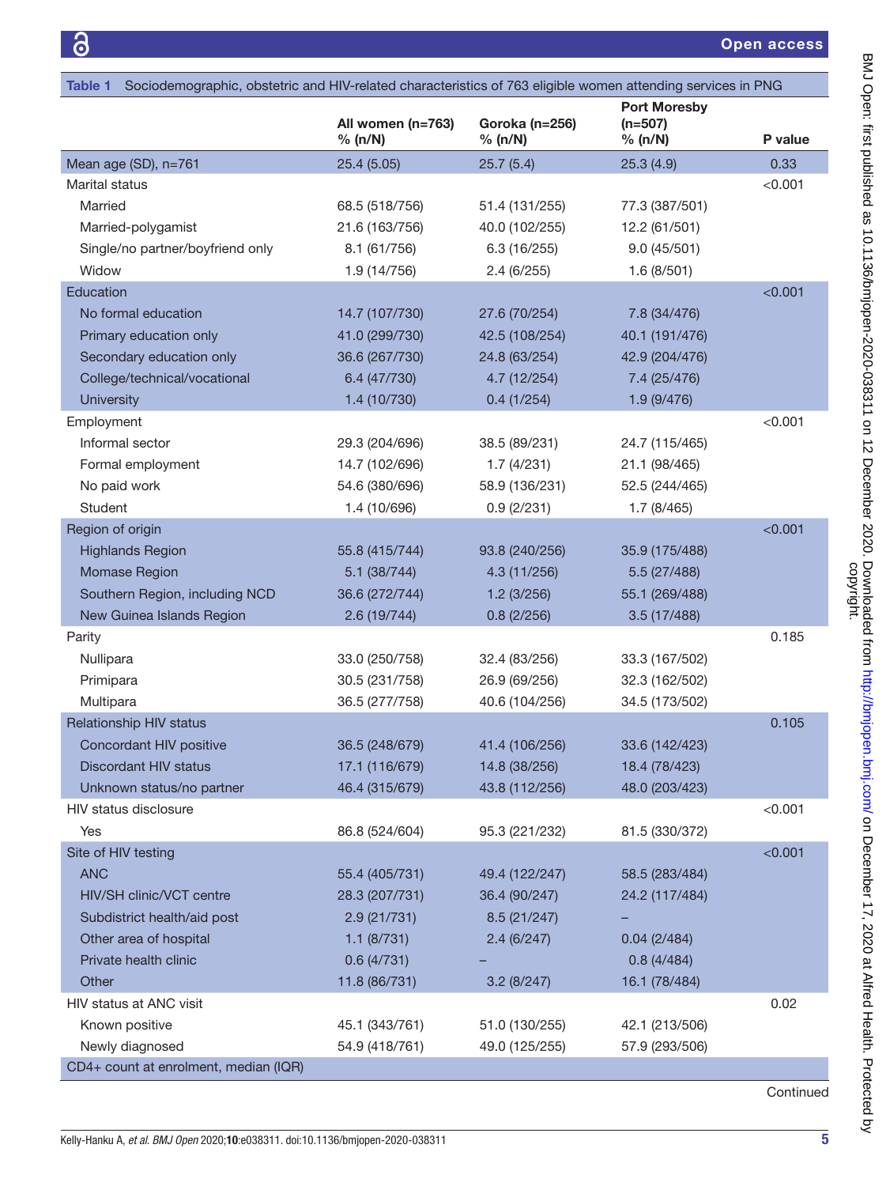<span id="page-4-0"></span>

| Sociodemographic, obstetric and HIV-related characteristics of 763 eligible women attending services in PNG<br>Table 1 |                              |                           |                                             |         |  |
|------------------------------------------------------------------------------------------------------------------------|------------------------------|---------------------------|---------------------------------------------|---------|--|
|                                                                                                                        | All women (n=763)<br>% (n/N) | Goroka (n=256)<br>% (n/N) | <b>Port Moresby</b><br>$(n=507)$<br>% (n/N) | P value |  |
| Mean age (SD), n=761                                                                                                   | 25.4(5.05)                   | 25.7(5.4)                 | 25.3(4.9)                                   | 0.33    |  |
| Marital status                                                                                                         |                              |                           |                                             | < 0.001 |  |
| Married                                                                                                                | 68.5 (518/756)               | 51.4 (131/255)            | 77.3 (387/501)                              |         |  |
| Married-polygamist                                                                                                     | 21.6 (163/756)               | 40.0 (102/255)            | 12.2 (61/501)                               |         |  |
| Single/no partner/boyfriend only                                                                                       | 8.1 (61/756)                 | 6.3(16/255)               | 9.0(45/501)                                 |         |  |
| Widow                                                                                                                  | 1.9 (14/756)                 | 2.4(6/255)                | 1.6(8/501)                                  |         |  |
| Education                                                                                                              |                              |                           |                                             | < 0.001 |  |
| No formal education                                                                                                    | 14.7 (107/730)               | 27.6 (70/254)             | 7.8 (34/476)                                |         |  |
| Primary education only                                                                                                 | 41.0 (299/730)               | 42.5 (108/254)            | 40.1 (191/476)                              |         |  |
| Secondary education only                                                                                               | 36.6 (267/730)               | 24.8 (63/254)             | 42.9 (204/476)                              |         |  |
| College/technical/vocational                                                                                           | 6.4 (47/730)                 | 4.7 (12/254)              | 7.4 (25/476)                                |         |  |
| <b>University</b>                                                                                                      | 1.4 (10/730)                 | 0.4(1/254)                | 1.9 (9/476)                                 |         |  |
| Employment                                                                                                             |                              |                           |                                             | < 0.001 |  |
| Informal sector                                                                                                        | 29.3 (204/696)               | 38.5 (89/231)             | 24.7 (115/465)                              |         |  |
| Formal employment                                                                                                      | 14.7 (102/696)               | 1.7(4/231)                | 21.1 (98/465)                               |         |  |
| No paid work                                                                                                           | 54.6 (380/696)               | 58.9 (136/231)            | 52.5 (244/465)                              |         |  |
| Student                                                                                                                | 1.4 (10/696)                 | 0.9(2/231)                | 1.7(8/465)                                  |         |  |
| Region of origin                                                                                                       |                              |                           |                                             | < 0.001 |  |
| <b>Highlands Region</b>                                                                                                | 55.8 (415/744)               | 93.8 (240/256)            | 35.9 (175/488)                              |         |  |
| Momase Region                                                                                                          | 5.1(38/744)                  | 4.3 (11/256)              | 5.5 (27/488)                                |         |  |
| Southern Region, including NCD                                                                                         | 36.6 (272/744)               | 1.2(3/256)                | 55.1 (269/488)                              |         |  |
| New Guinea Islands Region                                                                                              | 2.6(19/744)                  | 0.8(2/256)                | 3.5(17/488)                                 |         |  |
| Parity                                                                                                                 |                              |                           |                                             | 0.185   |  |
| Nullipara                                                                                                              | 33.0 (250/758)               | 32.4 (83/256)             | 33.3 (167/502)                              |         |  |
| Primipara                                                                                                              | 30.5 (231/758)               | 26.9 (69/256)             | 32.3 (162/502)                              |         |  |
| Multipara                                                                                                              | 36.5 (277/758)               | 40.6 (104/256)            | 34.5 (173/502)                              |         |  |
| <b>Relationship HIV status</b>                                                                                         |                              |                           |                                             | 0.105   |  |
| Concordant HIV positive                                                                                                | 36.5 (248/679)               | 41.4 (106/256)            | 33.6 (142/423)                              |         |  |
| <b>Discordant HIV status</b>                                                                                           | 17.1 (116/679)               | 14.8 (38/256)             | 18.4 (78/423)                               |         |  |
| Unknown status/no partner                                                                                              | 46.4 (315/679)               | 43.8 (112/256)            | 48.0 (203/423)                              |         |  |
| HIV status disclosure                                                                                                  |                              |                           |                                             | < 0.001 |  |
| Yes                                                                                                                    | 86.8 (524/604)               | 95.3 (221/232)            | 81.5 (330/372)                              |         |  |
| Site of HIV testing                                                                                                    |                              |                           |                                             | < 0.001 |  |
| <b>ANC</b>                                                                                                             | 55.4 (405/731)               | 49.4 (122/247)            | 58.5 (283/484)                              |         |  |
| HIV/SH clinic/VCT centre                                                                                               | 28.3 (207/731)               | 36.4 (90/247)             | 24.2 (117/484)                              |         |  |
| Subdistrict health/aid post                                                                                            | 2.9(21/731)                  | 8.5(21/247)               |                                             |         |  |
| Other area of hospital                                                                                                 | 1.1 (8/731)                  | 2.4(6/247)                | 0.04(2/484)                                 |         |  |
| Private health clinic                                                                                                  | 0.6(4/731)                   |                           | 0.8(4/484)                                  |         |  |
| Other                                                                                                                  | 11.8 (86/731)                | 3.2(8/247)                | 16.1 (78/484)                               |         |  |
| HIV status at ANC visit                                                                                                |                              |                           |                                             | 0.02    |  |
| Known positive                                                                                                         | 45.1 (343/761)               | 51.0 (130/255)            | 42.1 (213/506)                              |         |  |
| Newly diagnosed                                                                                                        | 54.9 (418/761)               | 49.0 (125/255)            | 57.9 (293/506)                              |         |  |
| CD4+ count at enrolment, median (IQR)                                                                                  |                              |                           |                                             |         |  |

Continued

Kelly-Hanku A, *et al*. *BMJ Open* 2020;10:e038311. doi:10.1136/bmjopen-2020-038311 5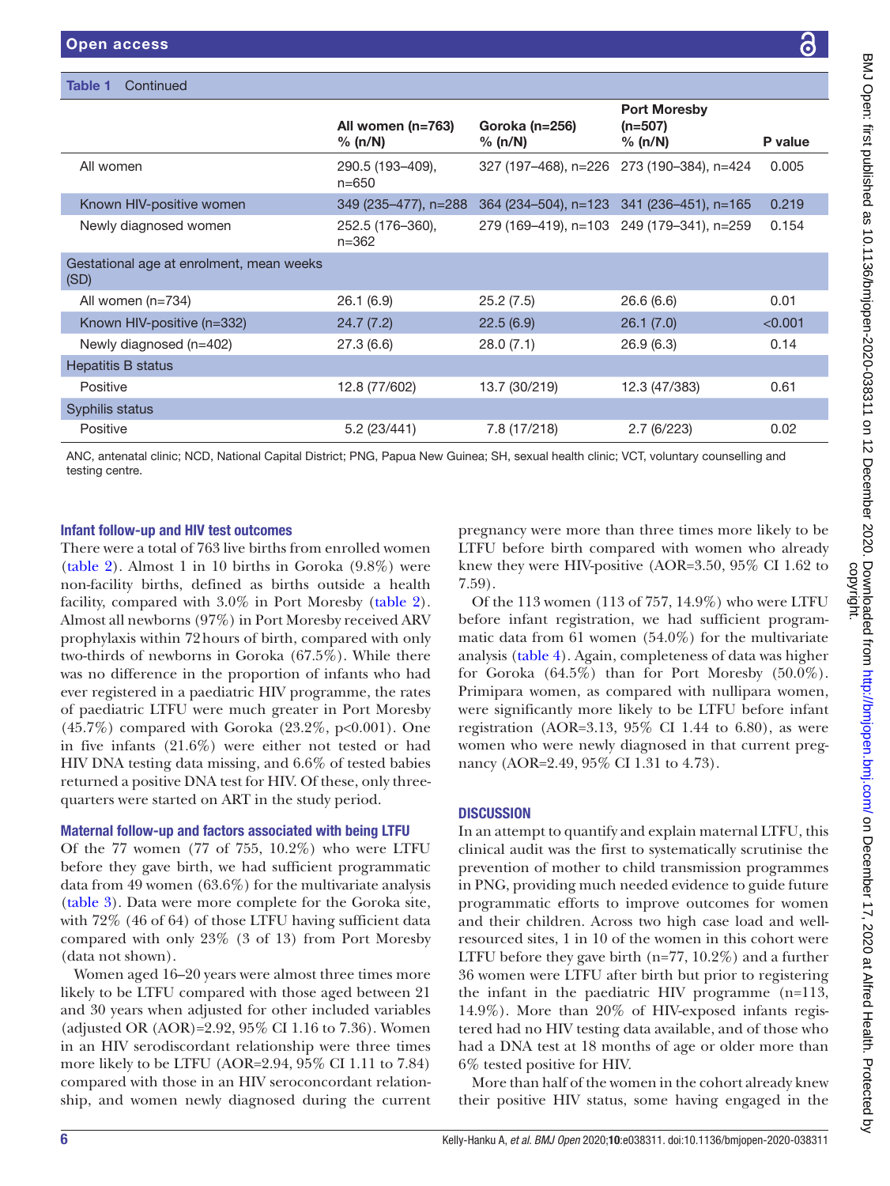| <b>Table 1</b><br>Continued                      |                                |                                           |                                             |         |
|--------------------------------------------------|--------------------------------|-------------------------------------------|---------------------------------------------|---------|
|                                                  | All women $(n=763)$<br>% (n/N) | Goroka (n=256)<br>% (n/N)                 | <b>Port Moresby</b><br>$(n=507)$<br>% (n/N) | P value |
| All women                                        | 290.5 (193-409),<br>$n = 650$  |                                           | 327 (197-468), n=226 273 (190-384), n=424   | 0.005   |
| Known HIV-positive women                         | 349 (235-477), n=288           | 364 (234–504), n=123 341 (236–451), n=165 |                                             | 0.219   |
| Newly diagnosed women                            | 252.5 (176-360),<br>$n = 362$  |                                           | 279 (169-419), n=103 249 (179-341), n=259   | 0.154   |
| Gestational age at enrolment, mean weeks<br>(SD) |                                |                                           |                                             |         |
| All women $(n=734)$                              | 26.1 (6.9)                     | 25.2(7.5)                                 | 26.6(6.6)                                   | 0.01    |
| Known HIV-positive (n=332)                       | 24.7(7.2)                      | 22.5(6.9)                                 | 26.1(7.0)                                   | < 0.001 |
| Newly diagnosed (n=402)                          | 27.3(6.6)                      | 28.0(7.1)                                 | 26.9(6.3)                                   | 0.14    |
| Hepatitis B status                               |                                |                                           |                                             |         |
| Positive                                         | 12.8 (77/602)                  | 13.7 (30/219)                             | 12.3 (47/383)                               | 0.61    |
| Syphilis status                                  |                                |                                           |                                             |         |
| Positive                                         | 5.2(23/441)                    | 7.8 (17/218)                              | 2.7(6/223)                                  | 0.02    |

ANC, antenatal clinic; NCD, National Capital District; PNG, Papua New Guinea; SH, sexual health clinic; VCT, voluntary counselling and testing centre.

# Infant follow-up and HIV test outcomes

There were a total of 763 live births from enrolled women ([table](#page-6-0) 2). Almost 1 in 10 births in Goroka (9.8%) were non-facility births, defined as births outside a health facility, compared with 3.0% in Port Moresby ([table](#page-6-0) 2). Almost all newborns (97%) in Port Moresby received ARV prophylaxis within 72hours of birth, compared with only two-thirds of newborns in Goroka (67.5%). While there was no difference in the proportion of infants who had ever registered in a paediatric HIV programme, the rates of paediatric LTFU were much greater in Port Moresby  $(45.7\%)$  compared with Goroka  $(23.2\%, p<0.001)$ . One in five infants (21.6%) were either not tested or had HIV DNA testing data missing, and 6.6% of tested babies returned a positive DNA test for HIV. Of these, only threequarters were started on ART in the study period.

# Maternal follow-up and factors associated with being LTFU

Of the 77 women (77 of 755, 10.2%) who were LTFU before they gave birth, we had sufficient programmatic data from 49 women (63.6%) for the multivariate analysis ([table](#page-8-0) 3). Data were more complete for the Goroka site, with 72% (46 of 64) of those LTFU having sufficient data compared with only 23% (3 of 13) from Port Moresby (data not shown).

Women aged 16–20 years were almost three times more likely to be LTFU compared with those aged between 21 and 30 years when adjusted for other included variables (adjusted OR (AOR)=2.92, 95% CI 1.16 to 7.36). Women in an HIV serodiscordant relationship were three times more likely to be LTFU (AOR=2.94, 95% CI 1.11 to 7.84) compared with those in an HIV seroconcordant relationship, and women newly diagnosed during the current

pregnancy were more than three times more likely to be LTFU before birth compared with women who already knew they were HIV-positive (AOR=3.50, 95% CI 1.62 to 7.59).

Of the 113 women (113 of 757, 14.9%) who were LTFU before infant registration, we had sufficient programmatic data from 61 women (54.0%) for the multivariate analysis [\(table](#page-9-0) 4). Again, completeness of data was higher for Goroka (64.5%) than for Port Moresby (50.0%). Primipara women, as compared with nullipara women, were significantly more likely to be LTFU before infant registration (AOR=3.13, 95% CI 1.44 to 6.80), as were women who were newly diagnosed in that current pregnancy (AOR=2.49, 95% CI 1.31 to 4.73).

# **DISCUSSION**

In an attempt to quantify and explain maternal LTFU, this clinical audit was the first to systematically scrutinise the prevention of mother to child transmission programmes in PNG, providing much needed evidence to guide future programmatic efforts to improve outcomes for women and their children. Across two high case load and wellresourced sites, 1 in 10 of the women in this cohort were LTFU before they gave birth (n=77, 10.2%) and a further 36 women were LTFU after birth but prior to registering the infant in the paediatric HIV programme (n=113, 14.9%). More than 20% of HIV-exposed infants registered had no HIV testing data available, and of those who had a DNA test at 18 months of age or older more than 6% tested positive for HIV.

More than half of the women in the cohort already knew their positive HIV status, some having engaged in the

6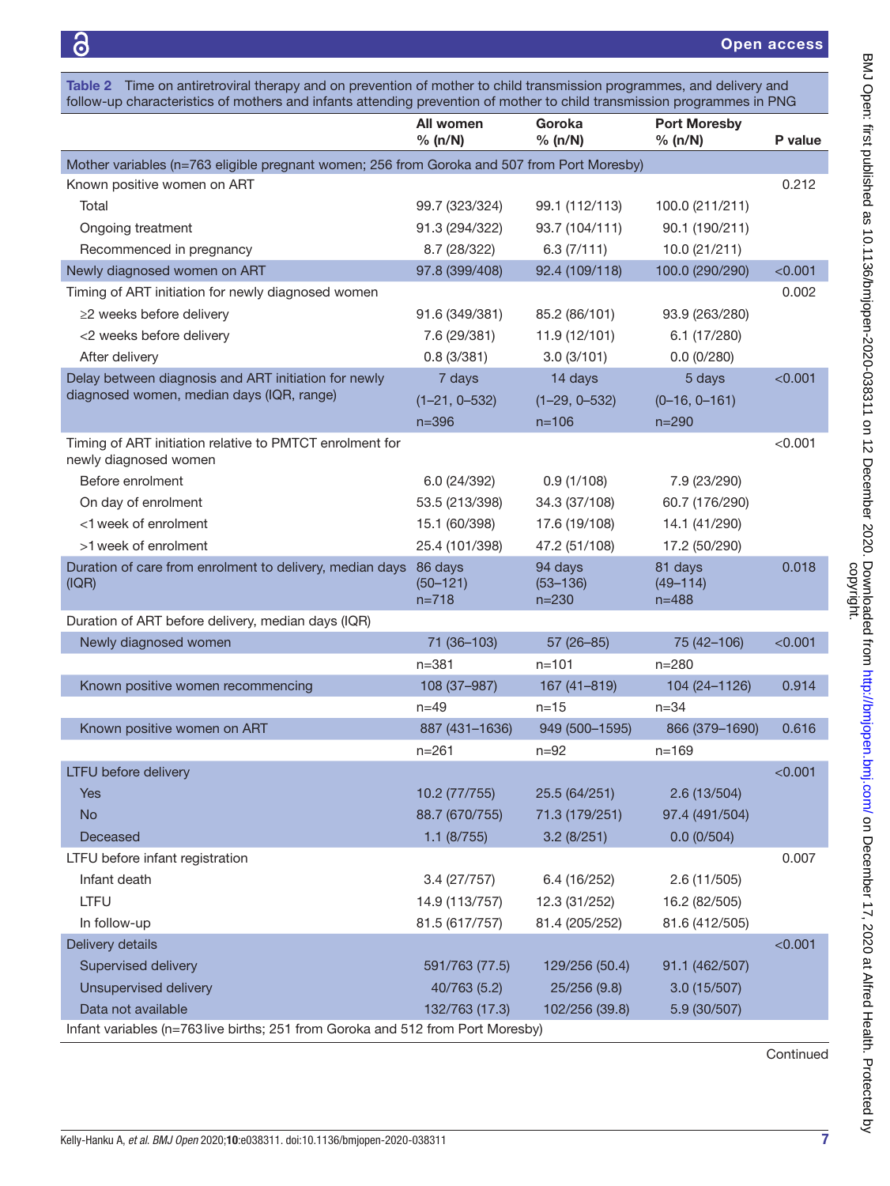Open access

<span id="page-6-0"></span>

|                                                                                             | All women<br>% (n/N)                 | Goroka<br>% (n/N)                    | <b>Port Moresby</b><br>% (n/N)       | P value |
|---------------------------------------------------------------------------------------------|--------------------------------------|--------------------------------------|--------------------------------------|---------|
| Mother variables (n=763 eligible pregnant women; 256 from Goroka and 507 from Port Moresby) |                                      |                                      |                                      |         |
| Known positive women on ART                                                                 |                                      |                                      |                                      | 0.212   |
| Total                                                                                       | 99.7 (323/324)                       | 99.1 (112/113)                       | 100.0 (211/211)                      |         |
| Ongoing treatment                                                                           | 91.3 (294/322)                       | 93.7 (104/111)                       | 90.1 (190/211)                       |         |
| Recommenced in pregnancy                                                                    | 8.7 (28/322)                         | 6.3(7/111)                           | 10.0 (21/211)                        |         |
| Newly diagnosed women on ART                                                                | 97.8 (399/408)                       | 92.4 (109/118)                       | 100.0 (290/290)                      | < 0.001 |
| Timing of ART initiation for newly diagnosed women                                          |                                      |                                      |                                      | 0.002   |
| $\geq$ 2 weeks before delivery                                                              | 91.6 (349/381)                       | 85.2 (86/101)                        | 93.9 (263/280)                       |         |
| <2 weeks before delivery                                                                    | 7.6 (29/381)                         | 11.9 (12/101)                        | 6.1(17/280)                          |         |
| After delivery                                                                              | 0.8(3/381)                           | 3.0(3/101)                           | 0.0(0/280)                           |         |
| Delay between diagnosis and ART initiation for newly                                        | 7 days                               | 14 days                              | 5 days                               | < 0.001 |
| diagnosed women, median days (IQR, range)                                                   | $(1-21, 0-532)$                      | $(1-29, 0-532)$                      | $(0-16, 0-161)$                      |         |
|                                                                                             | $n = 396$                            | $n = 106$                            | $n = 290$                            |         |
| Timing of ART initiation relative to PMTCT enrolment for<br>newly diagnosed women           |                                      |                                      |                                      | < 0.001 |
| Before enrolment                                                                            | 6.0 (24/392)                         | 0.9(1/108)                           | 7.9 (23/290)                         |         |
| On day of enrolment                                                                         | 53.5 (213/398)                       | 34.3 (37/108)                        | 60.7 (176/290)                       |         |
| <1 week of enrolment                                                                        | 15.1 (60/398)                        | 17.6 (19/108)                        | 14.1 (41/290)                        |         |
| >1 week of enrolment                                                                        | 25.4 (101/398)                       | 47.2 (51/108)                        | 17.2 (50/290)                        |         |
| Duration of care from enrolment to delivery, median days<br>(IQR)                           | 86 days<br>$(50 - 121)$<br>$n = 718$ | 94 days<br>$(53 - 136)$<br>$n = 230$ | 81 days<br>$(49 - 114)$<br>$n = 488$ | 0.018   |
| Duration of ART before delivery, median days (IQR)                                          |                                      |                                      |                                      |         |
| Newly diagnosed women                                                                       | 71 (36-103)                          | $57(26-85)$                          | 75 (42-106)                          | < 0.001 |
|                                                                                             | n=381                                | $n = 101$                            | $n = 280$                            |         |
| Known positive women recommencing                                                           | 108 (37-987)                         | 167 (41-819)                         | 104 (24-1126)                        | 0.914   |
|                                                                                             | $n = 49$                             | $n = 15$                             | $n = 34$                             |         |
| Known positive women on ART                                                                 | 887 (431-1636)                       | 949 (500-1595)                       | 866 (379-1690)                       | 0.616   |
|                                                                                             | $n = 261$                            | $n=92$                               | $n = 169$                            |         |
| LTFU before delivery                                                                        |                                      |                                      |                                      | < 0.001 |
| Yes                                                                                         | 10.2 (77/755)                        | 25.5 (64/251)                        | 2.6(13/504)                          |         |
| <b>No</b>                                                                                   | 88.7 (670/755)                       | 71.3 (179/251)                       | 97.4 (491/504)                       |         |
| Deceased                                                                                    | 1.1 (8/755)                          | 3.2(8/251)                           | 0.0(0/504)                           |         |
| LTFU before infant registration                                                             |                                      |                                      |                                      | 0.007   |
| Infant death                                                                                | 3.4(27/757)                          | 6.4 (16/252)                         | 2.6(11/505)                          |         |
| <b>LTFU</b>                                                                                 | 14.9 (113/757)                       | 12.3 (31/252)                        | 16.2 (82/505)                        |         |
| In follow-up                                                                                | 81.5 (617/757)                       | 81.4 (205/252)                       | 81.6 (412/505)                       |         |
| Delivery details                                                                            |                                      |                                      |                                      | < 0.001 |
| Supervised delivery                                                                         | 591/763 (77.5)                       | 129/256 (50.4)                       | 91.1 (462/507)                       |         |
| Unsupervised delivery                                                                       | 40/763 (5.2)                         | 25/256 (9.8)                         | 3.0(15/507)                          |         |
|                                                                                             |                                      |                                      |                                      |         |

Continued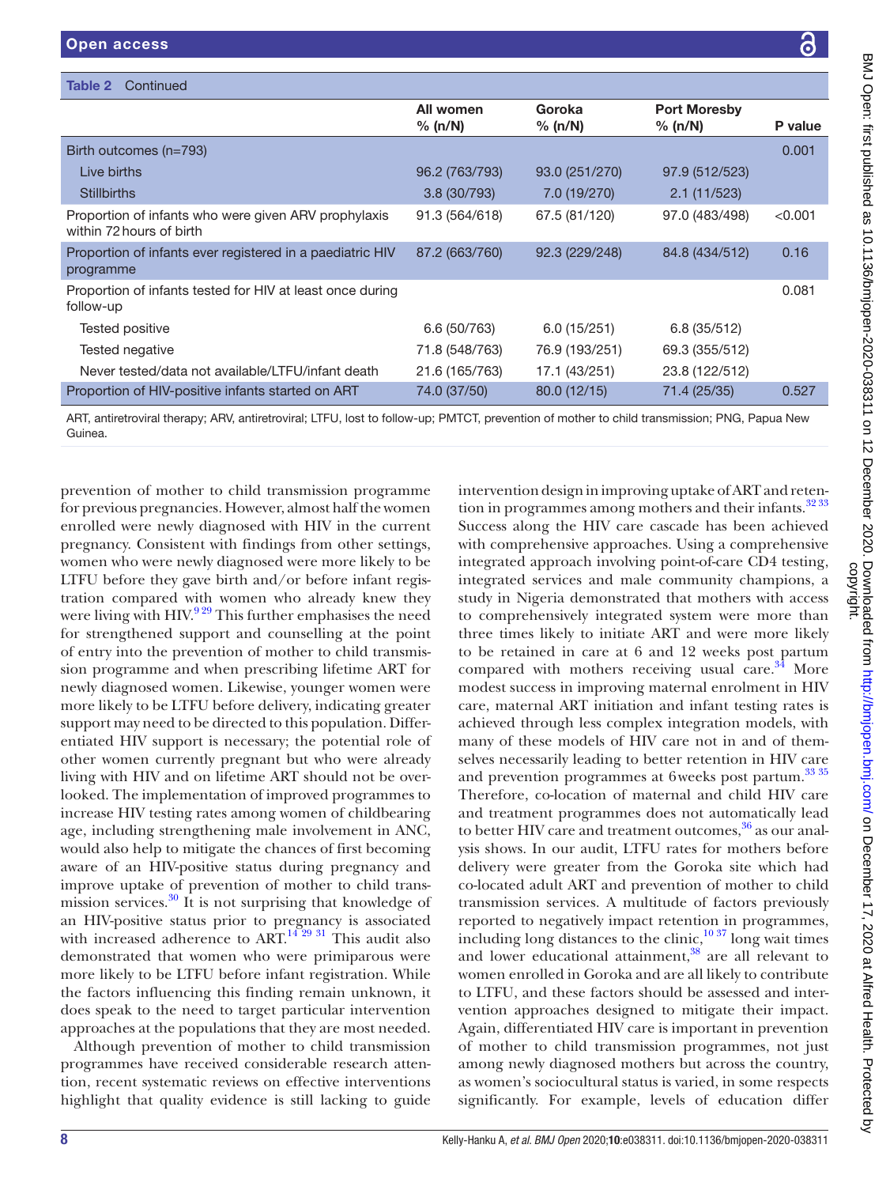| Table 2<br>Continued                                                             |                      |                   |                                |         |
|----------------------------------------------------------------------------------|----------------------|-------------------|--------------------------------|---------|
|                                                                                  | All women<br>% (n/N) | Goroka<br>% (n/N) | <b>Port Moresby</b><br>% (n/N) | P value |
| Birth outcomes (n=793)                                                           |                      |                   |                                | 0.001   |
| Live births                                                                      | 96.2 (763/793)       | 93.0 (251/270)    | 97.9 (512/523)                 |         |
| <b>Stillbirths</b>                                                               | 3.8(30/793)          | 7.0 (19/270)      | 2.1(11/523)                    |         |
| Proportion of infants who were given ARV prophylaxis<br>within 72 hours of birth | 91.3 (564/618)       | 67.5 (81/120)     | 97.0 (483/498)                 | < 0.001 |
| Proportion of infants ever registered in a paediatric HIV<br>programme           | 87.2 (663/760)       | 92.3 (229/248)    | 84.8 (434/512)                 | 0.16    |
| Proportion of infants tested for HIV at least once during<br>follow-up           |                      |                   |                                | 0.081   |
| Tested positive                                                                  | 6.6(50/763)          | 6.0(15/251)       | 6.8(35/512)                    |         |
| Tested negative                                                                  | 71.8 (548/763)       | 76.9 (193/251)    | 69.3 (355/512)                 |         |
| Never tested/data not available/LTFU/infant death                                | 21.6 (165/763)       | 17.1 (43/251)     | 23.8 (122/512)                 |         |
| Proportion of HIV-positive infants started on ART                                | 74.0 (37/50)         | 80.0 (12/15)      | 71.4 (25/35)                   | 0.527   |

ART, antiretroviral therapy; ARV, antiretroviral; LTFU, lost to follow-up; PMTCT, prevention of mother to child transmission; PNG, Papua New Guinea.

prevention of mother to child transmission programme for previous pregnancies. However, almost half the women enrolled were newly diagnosed with HIV in the current pregnancy. Consistent with findings from other settings, women who were newly diagnosed were more likely to be LTFU before they gave birth and/or before infant registration compared with women who already knew they were living with HIV.<sup>9 29</sup> This further emphasises the need for strengthened support and counselling at the point of entry into the prevention of mother to child transmission programme and when prescribing lifetime ART for newly diagnosed women. Likewise, younger women were more likely to be LTFU before delivery, indicating greater support may need to be directed to this population. Differentiated HIV support is necessary; the potential role of other women currently pregnant but who were already living with HIV and on lifetime ART should not be overlooked. The implementation of improved programmes to increase HIV testing rates among women of childbearing age, including strengthening male involvement in ANC, would also help to mitigate the chances of first becoming aware of an HIV-positive status during pregnancy and improve uptake of prevention of mother to child transmission services. $\frac{30}{11}$  It is not surprising that knowledge of an HIV-positive status prior to pregnancy is associated with increased adherence to ART. $14\frac{29}{31}$  This audit also demonstrated that women who were primiparous were more likely to be LTFU before infant registration. While the factors influencing this finding remain unknown, it does speak to the need to target particular intervention approaches at the populations that they are most needed.

Although prevention of mother to child transmission programmes have received considerable research attention, recent systematic reviews on effective interventions highlight that quality evidence is still lacking to guide

intervention design in improving uptake of ART and reten-tion in programmes among mothers and their infants.<sup>[32 33](#page-11-18)</sup> Success along the HIV care cascade has been achieved with comprehensive approaches. Using a comprehensive integrated approach involving point-of-care CD4 testing, integrated services and male community champions, a study in Nigeria demonstrated that mothers with access to comprehensively integrated system were more than three times likely to initiate ART and were more likely to be retained in care at 6 and 12 weeks post partum compared with mothers receiving usual care. $34$  More modest success in improving maternal enrolment in HIV care, maternal ART initiation and infant testing rates is achieved through less complex integration models, with many of these models of HIV care not in and of themselves necessarily leading to better retention in HIV care and prevention programmes at 6weeks post partum.<sup>[33 35](#page-12-1)</sup> Therefore, co-location of maternal and child HIV care and treatment programmes does not automatically lead to better HIV care and treatment outcomes,  $36$  as our analysis shows. In our audit, LTFU rates for mothers before delivery were greater from the Goroka site which had co-located adult ART and prevention of mother to child transmission services. A multitude of factors previously reported to negatively impact retention in programmes, including long distances to the clinic,  $\frac{1037}{2}$  long wait times and lower educational attainment,<sup>38</sup> are all relevant to women enrolled in Goroka and are all likely to contribute to LTFU, and these factors should be assessed and intervention approaches designed to mitigate their impact. Again, differentiated HIV care is important in prevention of mother to child transmission programmes, not just among newly diagnosed mothers but across the country, as women's sociocultural status is varied, in some respects significantly. For example, levels of education differ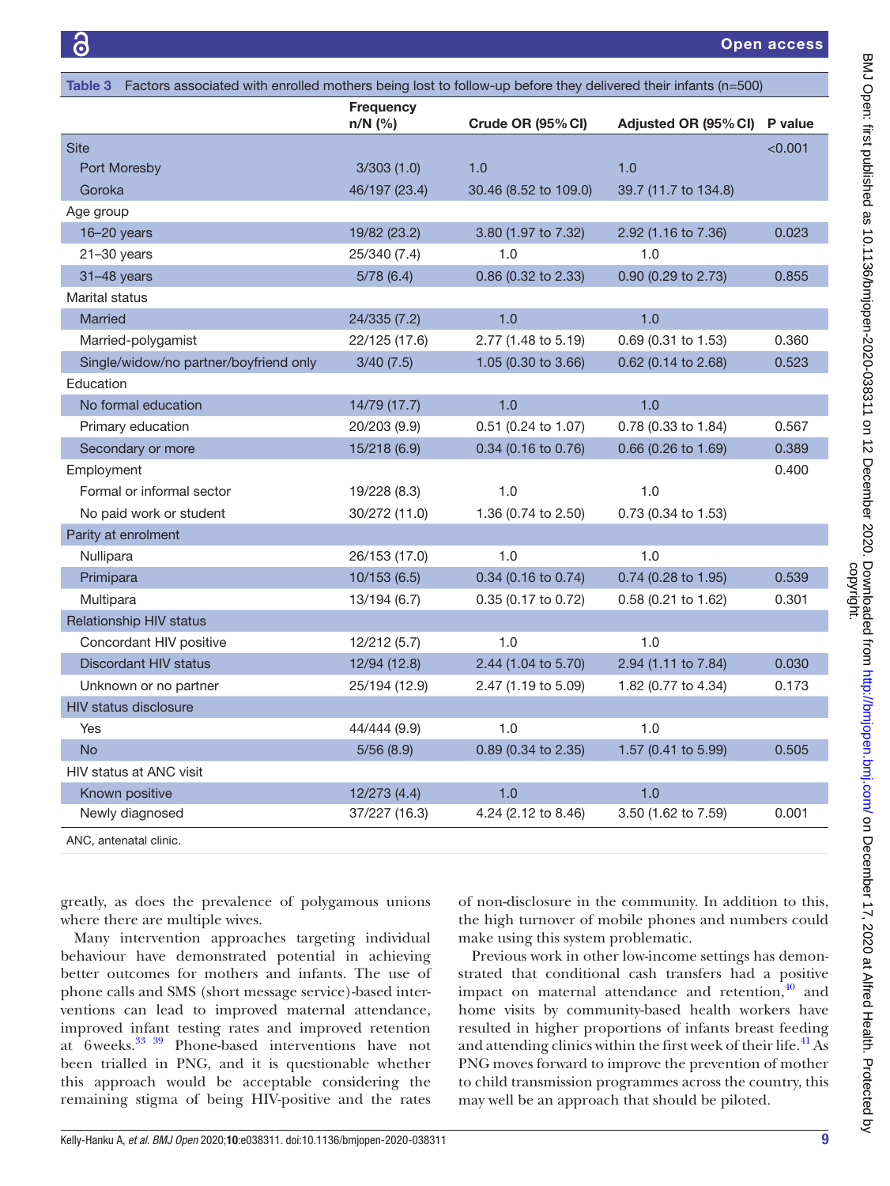<span id="page-8-0"></span>

| Table 3 Factors associated with enrolled mothers being lost to follow-up before they delivered their infants (n=500) |                             |                       |                      |         |  |
|----------------------------------------------------------------------------------------------------------------------|-----------------------------|-----------------------|----------------------|---------|--|
|                                                                                                                      | <b>Frequency</b><br>n/N (%) | Crude OR (95% CI)     | Adjusted OR (95% CI) | P value |  |
| <b>Site</b>                                                                                                          |                             |                       |                      | < 0.001 |  |
| Port Moresby                                                                                                         | 3/303(1.0)                  | 1.0                   | 1.0                  |         |  |
| Goroka                                                                                                               | 46/197 (23.4)               | 30.46 (8.52 to 109.0) | 39.7 (11.7 to 134.8) |         |  |
| Age group                                                                                                            |                             |                       |                      |         |  |
| 16-20 years                                                                                                          | 19/82 (23.2)                | 3.80 (1.97 to 7.32)   | 2.92 (1.16 to 7.36)  | 0.023   |  |
| $21 - 30$ years                                                                                                      | 25/340 (7.4)                | 1.0                   | 1.0                  |         |  |
| $31-48$ years                                                                                                        | 5/78(6.4)                   | 0.86 (0.32 to 2.33)   | 0.90 (0.29 to 2.73)  | 0.855   |  |
| Marital status                                                                                                       |                             |                       |                      |         |  |
| Married                                                                                                              | 24/335 (7.2)                | 1.0                   | 1.0                  |         |  |
| Married-polygamist                                                                                                   | 22/125 (17.6)               | 2.77 (1.48 to 5.19)   | 0.69 (0.31 to 1.53)  | 0.360   |  |
| Single/widow/no partner/boyfriend only                                                                               | 3/40(7.5)                   | 1.05 (0.30 to 3.66)   | 0.62 (0.14 to 2.68)  | 0.523   |  |
| Education                                                                                                            |                             |                       |                      |         |  |
| No formal education                                                                                                  | 14/79 (17.7)                | 1.0                   | 1.0                  |         |  |
| Primary education                                                                                                    | 20/203 (9.9)                | 0.51 (0.24 to 1.07)   | 0.78 (0.33 to 1.84)  | 0.567   |  |
| Secondary or more                                                                                                    | 15/218 (6.9)                | 0.34 (0.16 to 0.76)   | 0.66 (0.26 to 1.69)  | 0.389   |  |
| Employment                                                                                                           |                             |                       |                      | 0.400   |  |
| Formal or informal sector                                                                                            | 19/228 (8.3)                | 1.0                   | 1.0                  |         |  |
| No paid work or student                                                                                              | 30/272 (11.0)               | 1.36 (0.74 to 2.50)   | 0.73 (0.34 to 1.53)  |         |  |
| Parity at enrolment                                                                                                  |                             |                       |                      |         |  |
| Nullipara                                                                                                            | 26/153 (17.0)               | 1.0                   | 1.0                  |         |  |
| Primipara                                                                                                            | 10/153(6.5)                 | 0.34 (0.16 to 0.74)   | 0.74 (0.28 to 1.95)  | 0.539   |  |
| Multipara                                                                                                            | 13/194 (6.7)                | 0.35 (0.17 to 0.72)   | 0.58 (0.21 to 1.62)  | 0.301   |  |
| <b>Relationship HIV status</b>                                                                                       |                             |                       |                      |         |  |
| Concordant HIV positive                                                                                              | 12/212 (5.7)                | 1.0                   | 1.0                  |         |  |
| <b>Discordant HIV status</b>                                                                                         | 12/94 (12.8)                | 2.44 (1.04 to 5.70)   | 2.94 (1.11 to 7.84)  | 0.030   |  |
| Unknown or no partner                                                                                                | 25/194 (12.9)               | 2.47 (1.19 to 5.09)   | 1.82 (0.77 to 4.34)  | 0.173   |  |
| <b>HIV status disclosure</b>                                                                                         |                             |                       |                      |         |  |
| Yes                                                                                                                  | 44/444 (9.9)                | 1.0                   | 1.0                  |         |  |
| <b>No</b>                                                                                                            | 5/56(8.9)                   | 0.89 (0.34 to 2.35)   | 1.57 (0.41 to 5.99)  | 0.505   |  |
| HIV status at ANC visit                                                                                              |                             |                       |                      |         |  |
| Known positive                                                                                                       | 12/273 (4.4)                | 1.0                   | 1.0                  |         |  |
| Newly diagnosed                                                                                                      | 37/227 (16.3)               | 4.24 (2.12 to 8.46)   | 3.50 (1.62 to 7.59)  | 0.001   |  |

ANC, antenatal clinic.

greatly, as does the prevalence of polygamous unions where there are multiple wives.

Many intervention approaches targeting individual behaviour have demonstrated potential in achieving better outcomes for mothers and infants. The use of phone calls and SMS (short message service)-based interventions can lead to improved maternal attendance, improved infant testing rates and improved retention at 6weeks[.33 39](#page-12-1) Phone-based interventions have not been trialled in PNG, and it is questionable whether this approach would be acceptable considering the remaining stigma of being HIV-positive and the rates

of non-disclosure in the community. In addition to this, the high turnover of mobile phones and numbers could make using this system problematic.

Previous work in other low-income settings has demonstrated that conditional cash transfers had a positive impact on maternal attendance and retention, $40$  and home visits by community-based health workers have resulted in higher proportions of infants breast feeding and attending clinics within the first week of their life.<sup>41</sup> As PNG moves forward to improve the prevention of mother to child transmission programmes across the country, this may well be an approach that should be piloted.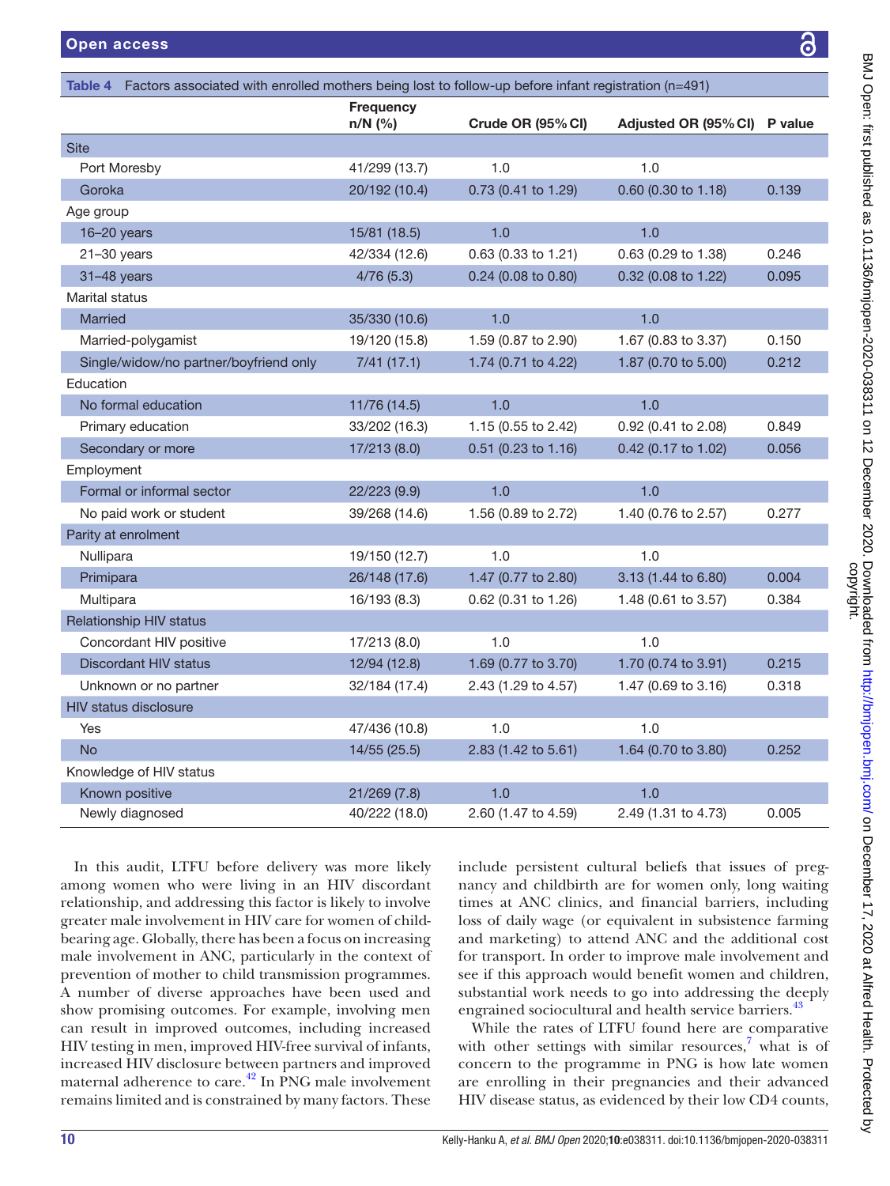<span id="page-9-0"></span>

| Factors associated with enrolled mothers being lost to follow-up before infant registration (n=491)<br>Table 4 |                             |                     |                      |         |  |
|----------------------------------------------------------------------------------------------------------------|-----------------------------|---------------------|----------------------|---------|--|
|                                                                                                                | <b>Frequency</b><br>n/N (%) | Crude OR (95% CI)   | Adjusted OR (95% CI) | P value |  |
| <b>Site</b>                                                                                                    |                             |                     |                      |         |  |
| Port Moresby                                                                                                   | 41/299 (13.7)               | 1.0                 | 1.0                  |         |  |
| Goroka                                                                                                         | 20/192 (10.4)               | 0.73 (0.41 to 1.29) | 0.60 (0.30 to 1.18)  | 0.139   |  |
| Age group                                                                                                      |                             |                     |                      |         |  |
| $16 - 20$ years                                                                                                | 15/81 (18.5)                | 1.0                 | 1.0                  |         |  |
| $21 - 30$ years                                                                                                | 42/334 (12.6)               | 0.63 (0.33 to 1.21) | 0.63 (0.29 to 1.38)  | 0.246   |  |
| $31-48$ years                                                                                                  | 4/76(5.3)                   | 0.24 (0.08 to 0.80) | 0.32 (0.08 to 1.22)  | 0.095   |  |
| Marital status                                                                                                 |                             |                     |                      |         |  |
| <b>Married</b>                                                                                                 | 35/330 (10.6)               | 1.0                 | 1.0                  |         |  |
| Married-polygamist                                                                                             | 19/120 (15.8)               | 1.59 (0.87 to 2.90) | 1.67 (0.83 to 3.37)  | 0.150   |  |
| Single/widow/no partner/boyfriend only                                                                         | 7/41(17.1)                  | 1.74 (0.71 to 4.22) | 1.87 (0.70 to 5.00)  | 0.212   |  |
| Education                                                                                                      |                             |                     |                      |         |  |
| No formal education                                                                                            | 11/76 (14.5)                | 1.0                 | 1.0                  |         |  |
| Primary education                                                                                              | 33/202 (16.3)               | 1.15 (0.55 to 2.42) | 0.92 (0.41 to 2.08)  | 0.849   |  |
| Secondary or more                                                                                              | 17/213 (8.0)                | 0.51 (0.23 to 1.16) | 0.42 (0.17 to 1.02)  | 0.056   |  |
| Employment                                                                                                     |                             |                     |                      |         |  |
| Formal or informal sector                                                                                      | 22/223 (9.9)                | 1.0                 | 1.0                  |         |  |
| No paid work or student                                                                                        | 39/268 (14.6)               | 1.56 (0.89 to 2.72) | 1.40 (0.76 to 2.57)  | 0.277   |  |
| Parity at enrolment                                                                                            |                             |                     |                      |         |  |
| Nullipara                                                                                                      | 19/150 (12.7)               | 1.0                 | 1.0                  |         |  |
| Primipara                                                                                                      | 26/148 (17.6)               | 1.47 (0.77 to 2.80) | 3.13 (1.44 to 6.80)  | 0.004   |  |
| Multipara                                                                                                      | 16/193 (8.3)                | 0.62 (0.31 to 1.26) | 1.48 (0.61 to 3.57)  | 0.384   |  |
| <b>Relationship HIV status</b>                                                                                 |                             |                     |                      |         |  |
| Concordant HIV positive                                                                                        | 17/213 (8.0)                | 1.0                 | 1.0                  |         |  |
| <b>Discordant HIV status</b>                                                                                   | 12/94 (12.8)                | 1.69 (0.77 to 3.70) | 1.70 (0.74 to 3.91)  | 0.215   |  |
| Unknown or no partner                                                                                          | 32/184 (17.4)               | 2.43 (1.29 to 4.57) | 1.47 (0.69 to 3.16)  | 0.318   |  |
| <b>HIV status disclosure</b>                                                                                   |                             |                     |                      |         |  |
| Yes                                                                                                            | 47/436 (10.8)               | 1.0                 | 1.0                  |         |  |
| <b>No</b>                                                                                                      | 14/55 (25.5)                | 2.83 (1.42 to 5.61) | 1.64 (0.70 to 3.80)  | 0.252   |  |
| Knowledge of HIV status                                                                                        |                             |                     |                      |         |  |
| Known positive                                                                                                 | 21/269 (7.8)                | 1.0                 | 1.0                  |         |  |
| Newly diagnosed                                                                                                | 40/222 (18.0)               | 2.60 (1.47 to 4.59) | 2.49 (1.31 to 4.73)  | 0.005   |  |

In this audit, LTFU before delivery was more likely among women who were living in an HIV discordant relationship, and addressing this factor is likely to involve greater male involvement in HIV care for women of childbearing age. Globally, there has been a focus on increasing male involvement in ANC, particularly in the context of prevention of mother to child transmission programmes. A number of diverse approaches have been used and show promising outcomes. For example, involving men can result in improved outcomes, including increased HIV testing in men, improved HIV-free survival of infants, increased HIV disclosure between partners and improved maternal adherence to care.<sup>42</sup> In PNG male involvement remains limited and is constrained by many factors. These

include persistent cultural beliefs that issues of pregnancy and childbirth are for women only, long waiting times at ANC clinics, and financial barriers, including loss of daily wage (or equivalent in subsistence farming and marketing) to attend ANC and the additional cost for transport. In order to improve male involvement and see if this approach would benefit women and children, substantial work needs to go into addressing the deeply engrained sociocultural and health service barriers.<sup>[43](#page-12-7)</sup>

While the rates of LTFU found here are comparative with other settings with similar resources, $\frac{7}{7}$  $\frac{7}{7}$  $\frac{7}{7}$  what is of concern to the programme in PNG is how late women are enrolling in their pregnancies and their advanced HIV disease status, as evidenced by their low CD4 counts,

႕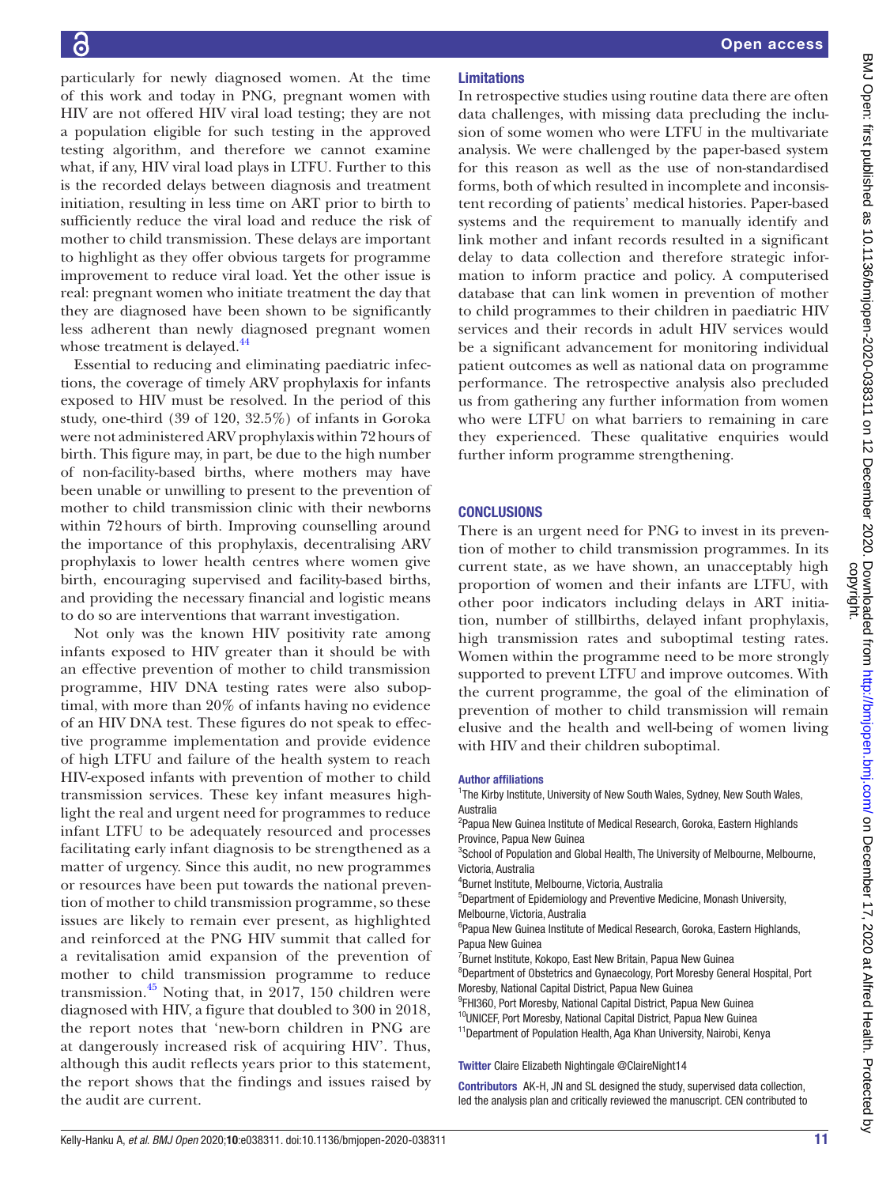particularly for newly diagnosed women. At the time of this work and today in PNG, pregnant women with HIV are not offered HIV viral load testing; they are not a population eligible for such testing in the approved testing algorithm, and therefore we cannot examine what, if any, HIV viral load plays in LTFU. Further to this is the recorded delays between diagnosis and treatment initiation, resulting in less time on ART prior to birth to sufficiently reduce the viral load and reduce the risk of mother to child transmission. These delays are important to highlight as they offer obvious targets for programme improvement to reduce viral load. Yet the other issue is real: pregnant women who initiate treatment the day that they are diagnosed have been shown to be significantly less adherent than newly diagnosed pregnant women whose treatment is delayed.<sup>44</sup>

Essential to reducing and eliminating paediatric infections, the coverage of timely ARV prophylaxis for infants exposed to HIV must be resolved. In the period of this study, one-third (39 of 120, 32.5%) of infants in Goroka were not administered ARV prophylaxis within 72hours of birth. This figure may, in part, be due to the high number of non-facility-based births, where mothers may have been unable or unwilling to present to the prevention of mother to child transmission clinic with their newborns within 72hours of birth. Improving counselling around the importance of this prophylaxis, decentralising ARV prophylaxis to lower health centres where women give birth, encouraging supervised and facility-based births, and providing the necessary financial and logistic means to do so are interventions that warrant investigation.

Not only was the known HIV positivity rate among infants exposed to HIV greater than it should be with an effective prevention of mother to child transmission programme, HIV DNA testing rates were also suboptimal, with more than 20% of infants having no evidence of an HIV DNA test. These figures do not speak to effective programme implementation and provide evidence of high LTFU and failure of the health system to reach HIV-exposed infants with prevention of mother to child transmission services. These key infant measures highlight the real and urgent need for programmes to reduce infant LTFU to be adequately resourced and processes facilitating early infant diagnosis to be strengthened as a matter of urgency. Since this audit, no new programmes or resources have been put towards the national prevention of mother to child transmission programme, so these issues are likely to remain ever present, as highlighted and reinforced at the PNG HIV summit that called for a revitalisation amid expansion of the prevention of mother to child transmission programme to reduce transmission. $45$  Noting that, in 2017, 150 children were diagnosed with HIV, a figure that doubled to 300 in 2018, the report notes that 'new-born children in PNG are at dangerously increased risk of acquiring HIV'. Thus, although this audit reflects years prior to this statement, the report shows that the findings and issues raised by the audit are current.

# Limitations

In retrospective studies using routine data there are often data challenges, with missing data precluding the inclusion of some women who were LTFU in the multivariate analysis. We were challenged by the paper-based system for this reason as well as the use of non-standardised forms, both of which resulted in incomplete and inconsistent recording of patients' medical histories. Paper-based systems and the requirement to manually identify and link mother and infant records resulted in a significant delay to data collection and therefore strategic information to inform practice and policy. A computerised database that can link women in prevention of mother to child programmes to their children in paediatric HIV services and their records in adult HIV services would be a significant advancement for monitoring individual patient outcomes as well as national data on programme performance. The retrospective analysis also precluded us from gathering any further information from women who were LTFU on what barriers to remaining in care they experienced. These qualitative enquiries would further inform programme strengthening.

# **CONCLUSIONS**

There is an urgent need for PNG to invest in its prevention of mother to child transmission programmes. In its current state, as we have shown, an unacceptably high proportion of women and their infants are LTFU, with other poor indicators including delays in ART initiation, number of stillbirths, delayed infant prophylaxis, high transmission rates and suboptimal testing rates. Women within the programme need to be more strongly supported to prevent LTFU and improve outcomes. With the current programme, the goal of the elimination of prevention of mother to child transmission will remain elusive and the health and well-being of women living with HIV and their children suboptimal.

#### Author affiliations

<sup>1</sup>The Kirby Institute, University of New South Wales, Sydney, New South Wales, Australia

<sup>2</sup> Papua New Guinea Institute of Medical Research, Goroka, Eastern Highlands Province, Papua New Guinea

<sup>3</sup>School of Population and Global Health, The University of Melbourne, Melbourne, Victoria, Australia

4 Burnet Institute, Melbourne, Victoria, Australia

5 Department of Epidemiology and Preventive Medicine, Monash University, Melbourne, Victoria, Australia

<sup>6</sup>Papua New Guinea Institute of Medical Research, Goroka, Eastern Highlands, Papua New Guinea

<sup>7</sup> Burnet Institute, Kokopo, East New Britain, Papua New Guinea

8 Department of Obstetrics and Gynaecology, Port Moresby General Hospital, Port Moresby, National Capital District, Papua New Guinea

<sup>9</sup>FHI360, Port Moresby, National Capital District, Papua New Guinea

 $10$ UNICEF, Port Moresby, National Capital District, Papua New Guinea

<sup>11</sup>Department of Population Health, Aga Khan University, Nairobi, Kenya

#### Twitter Claire Elizabeth Nightingale [@ClaireNight14](https://twitter.com/ClaireNight14)

Contributors AK-H, JN and SL designed the study, supervised data collection, led the analysis plan and critically reviewed the manuscript. CEN contributed to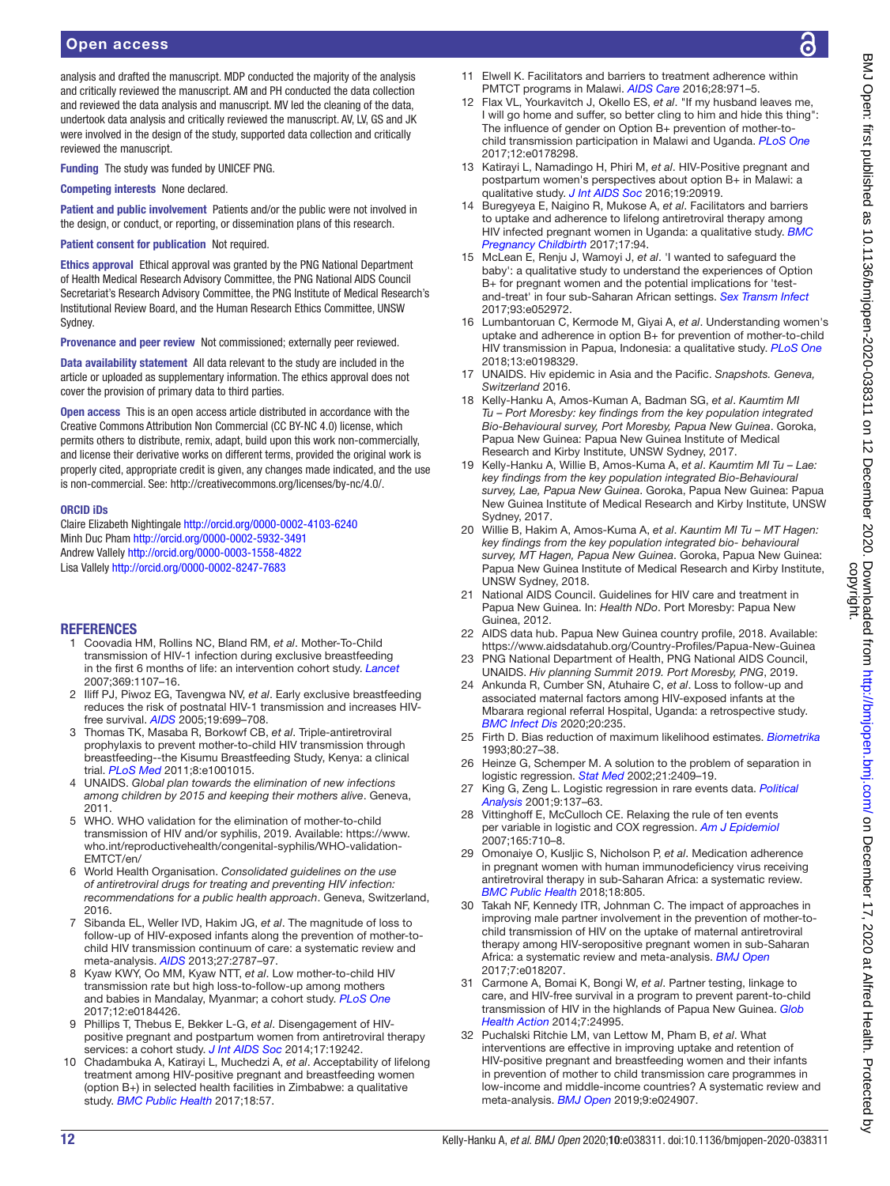# Open access

analysis and drafted the manuscript. MDP conducted the majority of the analysis and critically reviewed the manuscript. AM and PH conducted the data collection and reviewed the data analysis and manuscript. MV led the cleaning of the data, undertook data analysis and critically reviewed the manuscript. AV, LV, GS and JK were involved in the design of the study, supported data collection and critically reviewed the manuscript.

Funding The study was funded by UNICEF PNG.

Competing interests None declared.

Patient and public involvement Patients and/or the public were not involved in the design, or conduct, or reporting, or dissemination plans of this research.

#### Patient consent for publication Not required.

Ethics approval Ethical approval was granted by the PNG National Department of Health Medical Research Advisory Committee, the PNG National AIDS Council Secretariat's Research Advisory Committee, the PNG Institute of Medical Research's Institutional Review Board, and the Human Research Ethics Committee, UNSW Sydney.

Provenance and peer review Not commissioned; externally peer reviewed.

Data availability statement All data relevant to the study are included in the article or uploaded as supplementary information. The ethics approval does not cover the provision of primary data to third parties.

Open access This is an open access article distributed in accordance with the Creative Commons Attribution Non Commercial (CC BY-NC 4.0) license, which permits others to distribute, remix, adapt, build upon this work non-commercially, and license their derivative works on different terms, provided the original work is properly cited, appropriate credit is given, any changes made indicated, and the use is non-commercial. See: [http://creativecommons.org/licenses/by-nc/4.0/.](http://creativecommons.org/licenses/by-nc/4.0/)

#### ORCID iDs

Claire Elizabeth Nightingale<http://orcid.org/0000-0002-4103-6240> Minh Duc Pham<http://orcid.org/0000-0002-5932-3491> Andrew Vallely <http://orcid.org/0000-0003-1558-4822> Lisa Vallely<http://orcid.org/0000-0002-8247-7683>

#### REFERENCES

- <span id="page-11-0"></span>1 Coovadia HM, Rollins NC, Bland RM, *et al*. Mother-To-Child transmission of HIV-1 infection during exclusive breastfeeding in the first 6 months of life: an intervention cohort study. *[Lancet](http://dx.doi.org/10.1016/S0140-6736(07)60283-9)* 2007;369:1107–16.
- 2 Iliff PJ, Piwoz EG, Tavengwa NV, *et al*. Early exclusive breastfeeding reduces the risk of postnatal HIV-1 transmission and increases HIVfree survival. *[AIDS](http://dx.doi.org/10.1097/01.aids.0000166093.16446.c9)* 2005;19:699–708.
- 3 Thomas TK, Masaba R, Borkowf CB, *et al*. Triple-antiretroviral prophylaxis to prevent mother-to-child HIV transmission through breastfeeding--the Kisumu Breastfeeding Study, Kenya: a clinical trial. *[PLoS Med](http://dx.doi.org/10.1371/journal.pmed.1001015)* 2011;8:e1001015.
- <span id="page-11-1"></span>4 UNAIDS. *Global plan towards the elimination of new infections among children by 2015 and keeping their mothers alive*. Geneva, 2011.
- 5 WHO. WHO validation for the elimination of mother-to-child transmission of HIV and/or syphilis, 2019. Available: [https://www.](https://www.who.int/reproductivehealth/congenital-syphilis/WHO-validation-EMTCT/en/) [who.int/reproductivehealth/congenital-syphilis/WHO-validation-](https://www.who.int/reproductivehealth/congenital-syphilis/WHO-validation-EMTCT/en/)[EMTCT/en/](https://www.who.int/reproductivehealth/congenital-syphilis/WHO-validation-EMTCT/en/)
- <span id="page-11-2"></span>6 World Health Organisation. *Consolidated guidelines on the use of antiretroviral drugs for treating and preventing HIV infection: recommendations for a public health approach*. Geneva, Switzerland, 2016.
- <span id="page-11-3"></span>7 Sibanda EL, Weller IVD, Hakim JG, *et al*. The magnitude of loss to follow-up of HIV-exposed infants along the prevention of mother-tochild HIV transmission continuum of care: a systematic review and meta-analysis. *[AIDS](http://dx.doi.org/10.1097/QAD.0000000000000027)* 2013;27:2787–97.
- 8 Kyaw KWY, Oo MM, Kyaw NTT, *et al*. Low mother-to-child HIV transmission rate but high loss-to-follow-up among mothers and babies in Mandalay, Myanmar; a cohort study. *[PLoS One](http://dx.doi.org/10.1371/journal.pone.0184426)* 2017;12:e0184426.
- <span id="page-11-15"></span>9 Phillips T, Thebus E, Bekker L-G, *et al*. Disengagement of HIVpositive pregnant and postpartum women from antiretroviral therapy services: a cohort study. *[J Int AIDS Soc](http://dx.doi.org/10.7448/IAS.17.1.19242)* 2014;17:19242.
- <span id="page-11-4"></span>10 Chadambuka A, Katirayi L, Muchedzi A, *et al*. Acceptability of lifelong treatment among HIV-positive pregnant and breastfeeding women (option B+) in selected health facilities in Zimbabwe: a qualitative study. *[BMC Public Health](http://dx.doi.org/10.1186/s12889-017-4611-2)* 2017;18:57.
- <span id="page-11-5"></span>11 Elwell K. Facilitators and barriers to treatment adherence within PMTCT programs in Malawi. *[AIDS Care](http://dx.doi.org/10.1080/09540121.2016.1153586)* 2016;28:971–5.
- 12 Flax VL, Yourkavitch J, Okello ES, *et al*. "If my husband leaves me, I will go home and suffer, so better cling to him and hide this thing": The influence of gender on Option B+ prevention of mother-tochild transmission participation in Malawi and Uganda. *[PLoS One](http://dx.doi.org/10.1371/journal.pone.0178298)* 2017;12:e0178298.
- 13 Katirayi L, Namadingo H, Phiri M, *et al*. HIV-Positive pregnant and postpartum women's perspectives about option B+ in Malawi: a qualitative study. *[J Int AIDS Soc](http://dx.doi.org/10.7448/IAS.19.1.20919)* 2016;19:20919.
- <span id="page-11-17"></span>14 Buregyeya E, Naigino R, Mukose A, *et al*. Facilitators and barriers to uptake and adherence to lifelong antiretroviral therapy among HIV infected pregnant women in Uganda: a qualitative study. *[BMC](http://dx.doi.org/10.1186/s12884-017-1276-x)  [Pregnancy Childbirth](http://dx.doi.org/10.1186/s12884-017-1276-x)* 2017;17:94.
- 15 McLean E, Renju J, Wamoyi J, *et al*. 'I wanted to safeguard the baby': a qualitative study to understand the experiences of Option B+ for pregnant women and the potential implications for 'testand-treat' in four sub-Saharan African settings. *[Sex Transm Infect](http://dx.doi.org/10.1136/sextrans-2016-052972)* 2017;93:e052972.
- 16 Lumbantoruan C, Kermode M, Giyai A, *et al*. Understanding women's uptake and adherence in option B+ for prevention of mother-to-child HIV transmission in Papua, Indonesia: a qualitative study. *[PLoS One](http://dx.doi.org/10.1371/journal.pone.0198329)* 2018;13:e0198329.
- <span id="page-11-6"></span>17 UNAIDS. Hiv epidemic in Asia and the Pacific. *Snapshots. Geneva, Switzerland* 2016.
- <span id="page-11-7"></span>18 Kelly-Hanku A, Amos-Kuman A, Badman SG, *et al*. *Kaumtim MI Tu – Port Moresby: key findings from the key population integrated Bio-Behavioural survey, Port Moresby, Papua New Guinea*. Goroka, Papua New Guinea: Papua New Guinea Institute of Medical Research and Kirby Institute, UNSW Sydney, 2017.
- 19 Kelly-Hanku A, Willie B, Amos-Kuma A, *et al*. *Kaumtim MI Tu Lae: key findings from the key population integrated Bio-Behavioural survey, Lae, Papua New Guinea*. Goroka, Papua New Guinea: Papua New Guinea Institute of Medical Research and Kirby Institute, UNSW Sydney, 2017.
- 20 Willie B, Hakim A, Amos-Kuma A, *et al*. *Kauntim MI Tu MT Hagen: key findings from the key population integrated bio- behavioural survey, MT Hagen, Papua New Guinea*. Goroka, Papua New Guinea: Papua New Guinea Institute of Medical Research and Kirby Institute, UNSW Sydney, 2018.
- <span id="page-11-8"></span>21 National AIDS Council. Guidelines for HIV care and treatment in Papua New Guinea. In: *Health NDo*. Port Moresby: Papua New Guinea, 2012.
- <span id="page-11-9"></span>22 AIDS data hub. Papua New Guinea country profile, 2018. Available: <https://www.aidsdatahub.org/Country-Profiles/Papua-New-Guinea>
- <span id="page-11-10"></span>23 PNG National Department of Health, PNG National AIDS Council, UNAIDS. *Hiv planning Summit 2019. Port Moresby, PNG*, 2019.
- <span id="page-11-11"></span>24 Ankunda R, Cumber SN, Atuhaire C, *et al*. Loss to follow-up and associated maternal factors among HIV-exposed infants at the Mbarara regional referral Hospital, Uganda: a retrospective study. *[BMC Infect Dis](http://dx.doi.org/10.1186/s12879-020-04964-1)* 2020;20:235.
- <span id="page-11-12"></span>25 Firth D. Bias reduction of maximum likelihood estimates. *[Biometrika](http://dx.doi.org/10.1093/biomet/80.1.27)* 1993;80:27–38.
- 26 Heinze G, Schemper M. A solution to the problem of separation in logistic regression. *[Stat Med](http://dx.doi.org/10.1002/sim.1047)* 2002;21:2409–19.
- <span id="page-11-13"></span>27 King G, Zeng L. Logistic regression in rare events data. *[Political](http://dx.doi.org/10.1093/oxfordjournals.pan.a004868)  [Analysis](http://dx.doi.org/10.1093/oxfordjournals.pan.a004868)* 2001;9:137–63.
- <span id="page-11-14"></span>28 Vittinghoff E, McCulloch CE. Relaxing the rule of ten events per variable in logistic and COX regression. *[Am J Epidemiol](http://dx.doi.org/10.1093/aje/kwk052)* 2007;165:710–8.
- 29 Omonaiye O, Kusljic S, Nicholson P, *et al*. Medication adherence in pregnant women with human immunodeficiency virus receiving antiretroviral therapy in sub-Saharan Africa: a systematic review. *[BMC Public Health](http://dx.doi.org/10.1186/s12889-018-5651-y)* 2018;18:805.
- <span id="page-11-16"></span>30 Takah NF, Kennedy ITR, Johnman C. The impact of approaches in improving male partner involvement in the prevention of mother-tochild transmission of HIV on the uptake of maternal antiretroviral therapy among HIV-seropositive pregnant women in sub-Saharan Africa: a systematic review and meta-analysis. *[BMJ Open](http://dx.doi.org/10.1136/bmjopen-2017-018207)* 2017;7:e018207.
- 31 Carmone A, Bomai K, Bongi W, *et al*. Partner testing, linkage to care, and HIV-free survival in a program to prevent parent-to-child transmission of HIV in the highlands of Papua New Guinea. *[Glob](http://dx.doi.org/10.3402/gha.v7.24995)  [Health Action](http://dx.doi.org/10.3402/gha.v7.24995)* 2014;7:24995.
- <span id="page-11-18"></span>32 Puchalski Ritchie LM, van Lettow M, Pham B, *et al*. What interventions are effective in improving uptake and retention of HIV-positive pregnant and breastfeeding women and their infants in prevention of mother to child transmission care programmes in low-income and middle-income countries? A systematic review and meta-analysis. *[BMJ Open](http://dx.doi.org/10.1136/bmjopen-2018-024907)* 2019;9:e024907.